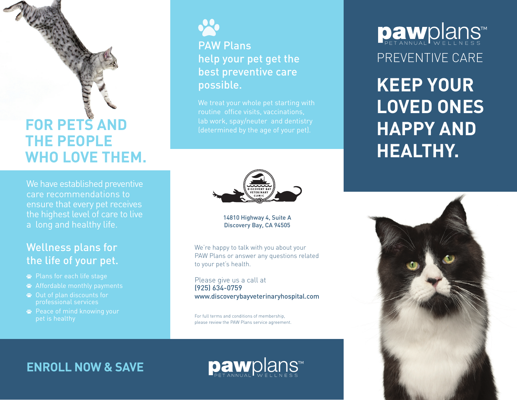# **FOR PETS AND THE PEOPLE WHO LOVE THEM.**

We have established preventive care recommendations to ensure that every pet receives the highest level of care to live a long and healthy life.

### Wellness plans for the life of your pet.

- Plans for each life stage
- Affordable monthly payments
- Out of plan discounts for professional services
- **<sup>■</sup>** Peace of mind knowing your pet is healthy



### PAW Plans help your pet get the best preventive care possible.

We treat your whole pet starting with routine office visits, vaccinations, lab work, spay/neuter and dentistry (determined by the age of your pet).



### 14810 Highway 4, Suite A Discovery Bay, CA 94505

We're happy to talk with you about your PAW Plans or answer any questions related to your pet's health.

Please give us a call at (925) 634-0759 www.discoverybayveterinaryhospital.com

For full terms and conditions of membership, please review the PAW Plans service agreement. PREVENTIVE CARE Dawplans

**KEEP YOUR LOVED ONES HAPPY AND HEALTHY.**



**ENROLL NOW & SAVE**